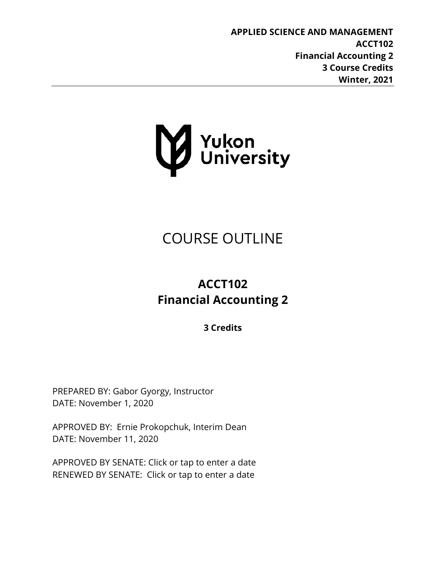

# COURSE OUTLINE

# **ACCT102 Financial Accounting 2**

**3 Credits**

PREPARED BY: Gabor Gyorgy, Instructor DATE: November 1, 2020

APPROVED BY: Ernie Prokopchuk, Interim Dean DATE: November 11, 2020

APPROVED BY SENATE: Click or tap to enter a date RENEWED BY SENATE: Click or tap to enter a date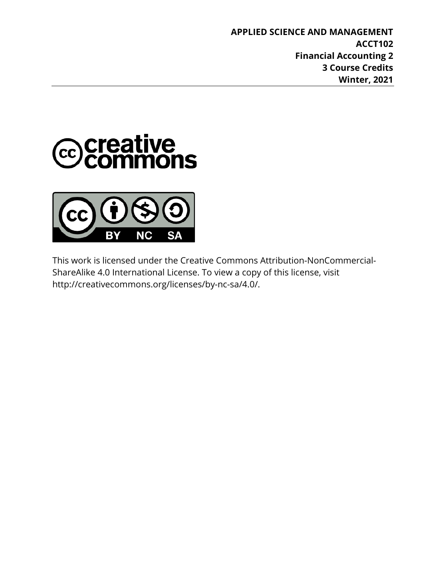



This work is licensed under the Creative Commons Attribution-NonCommercial-ShareAlike 4.0 International License. To view a copy of this license, visit http://creativecommons.org/licenses/by-nc-sa/4.0/.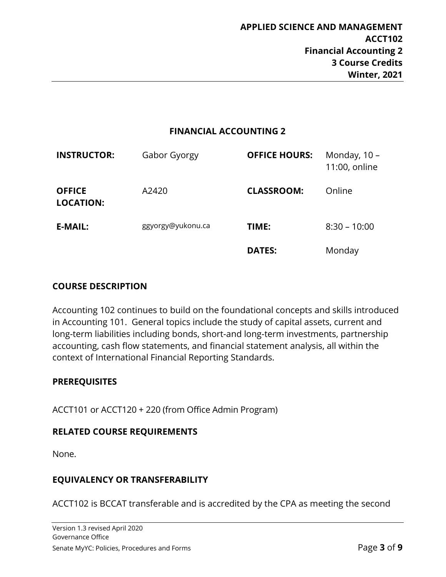#### **FINANCIAL ACCOUNTING 2**

| <b>INSTRUCTOR:</b>                | Gabor Gyorgy      | <b>OFFICE HOURS:</b> | Monday, 10 -<br>11:00, online |
|-----------------------------------|-------------------|----------------------|-------------------------------|
| <b>OFFICE</b><br><b>LOCATION:</b> | A2420             | <b>CLASSROOM:</b>    | Online                        |
| <b>E-MAIL:</b>                    | ggyorgy@yukonu.ca | TIME:                | $8:30 - 10:00$                |
|                                   |                   | <b>DATES:</b>        | Monday                        |

#### **COURSE DESCRIPTION**

Accounting 102 continues to build on the foundational concepts and skills introduced in Accounting 101. General topics include the study of capital assets, current and long-term liabilities including bonds, short-and long-term investments, partnership accounting, cash flow statements, and financial statement analysis, all within the context of International Financial Reporting Standards.

#### **PREREQUISITES**

ACCT101 or ACCT120 + 220 (from Office Admin Program)

#### **RELATED COURSE REQUIREMENTS**

None.

#### **EQUIVALENCY OR TRANSFERABILITY**

ACCT102 is BCCAT transferable and is accredited by the CPA as meeting the second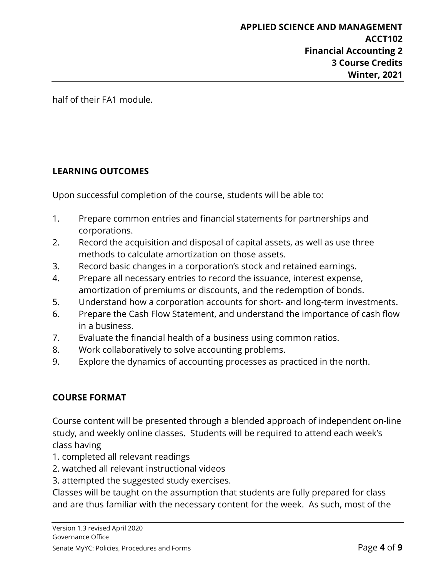half of their FA1 module.

# **LEARNING OUTCOMES**

Upon successful completion of the course, students will be able to:

- 1. Prepare common entries and financial statements for partnerships and corporations.
- 2. Record the acquisition and disposal of capital assets, as well as use three methods to calculate amortization on those assets.
- 3. Record basic changes in a corporation's stock and retained earnings.
- 4. Prepare all necessary entries to record the issuance, interest expense, amortization of premiums or discounts, and the redemption of bonds.
- 5. Understand how a corporation accounts for short- and long-term investments.
- 6. Prepare the Cash Flow Statement, and understand the importance of cash flow in a business.
- 7. Evaluate the financial health of a business using common ratios.
- 8. Work collaboratively to solve accounting problems.
- 9. Explore the dynamics of accounting processes as practiced in the north.

#### **COURSE FORMAT**

Course content will be presented through a blended approach of independent on-line study, and weekly online classes. Students will be required to attend each week's class having

- 1. completed all relevant readings
- 2. watched all relevant instructional videos
- 3. attempted the suggested study exercises.

Classes will be taught on the assumption that students are fully prepared for class and are thus familiar with the necessary content for the week. As such, most of the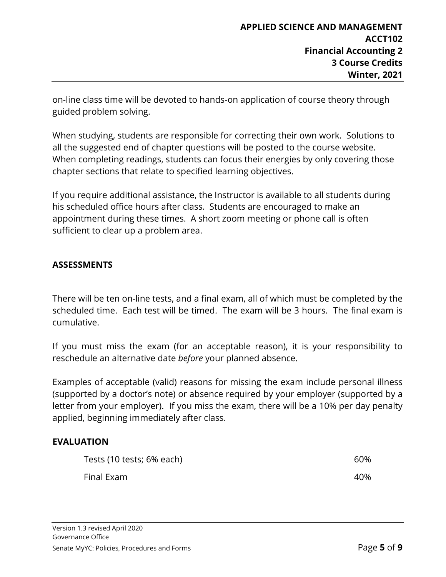on-line class time will be devoted to hands-on application of course theory through guided problem solving.

When studying, students are responsible for correcting their own work. Solutions to all the suggested end of chapter questions will be posted to the course website. When completing readings, students can focus their energies by only covering those chapter sections that relate to specified learning objectives.

If you require additional assistance, the Instructor is available to all students during his scheduled office hours after class. Students are encouraged to make an appointment during these times. A short zoom meeting or phone call is often sufficient to clear up a problem area.

# **ASSESSMENTS**

There will be ten on-line tests, and a final exam, all of which must be completed by the scheduled time. Each test will be timed. The exam will be 3 hours. The final exam is cumulative.

If you must miss the exam (for an acceptable reason), it is your responsibility to reschedule an alternative date *before* your planned absence.

Examples of acceptable (valid) reasons for missing the exam include personal illness (supported by a doctor's note) or absence required by your employer (supported by a letter from your employer). If you miss the exam, there will be a 10% per day penalty applied, beginning immediately after class.

#### **EVALUATION**

| Tests (10 tests; 6% each) | 60% |
|---------------------------|-----|
| Final Exam                | 40% |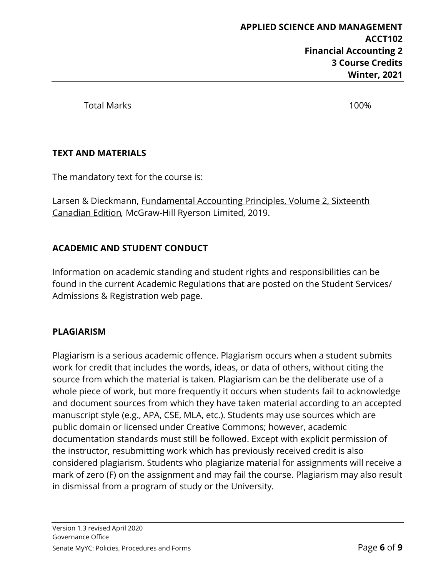Total Marks 100%

# **TEXT AND MATERIALS**

The mandatory text for the course is:

Larsen & Dieckmann, Fundamental Accounting Principles, Volume 2, Sixteenth Canadian Edition*,* McGraw-Hill Ryerson Limited, 2019.

# **ACADEMIC AND STUDENT CONDUCT**

Information on academic standing and student rights and responsibilities can be found in the current Academic Regulations that are posted on the Student Services/ Admissions & Registration web page.

# **PLAGIARISM**

Plagiarism is a serious academic offence. Plagiarism occurs when a student submits work for credit that includes the words, ideas, or data of others, without citing the source from which the material is taken. Plagiarism can be the deliberate use of a whole piece of work, but more frequently it occurs when students fail to acknowledge and document sources from which they have taken material according to an accepted manuscript style (e.g., APA, CSE, MLA, etc.). Students may use sources which are public domain or licensed under Creative Commons; however, academic documentation standards must still be followed. Except with explicit permission of the instructor, resubmitting work which has previously received credit is also considered plagiarism. Students who plagiarize material for assignments will receive a mark of zero (F) on the assignment and may fail the course. Plagiarism may also result in dismissal from a program of study or the University.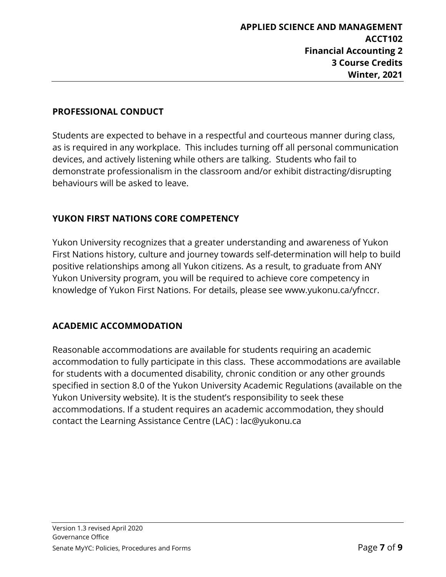#### **PROFESSIONAL CONDUCT**

Students are expected to behave in a respectful and courteous manner during class, as is required in any workplace. This includes turning off all personal communication devices, and actively listening while others are talking. Students who fail to demonstrate professionalism in the classroom and/or exhibit distracting/disrupting behaviours will be asked to leave.

#### **YUKON FIRST NATIONS CORE COMPETENCY**

Yukon University recognizes that a greater understanding and awareness of Yukon First Nations history, culture and journey towards self-determination will help to build positive relationships among all Yukon citizens. As a result, to graduate from ANY Yukon University program, you will be required to achieve core competency in knowledge of Yukon First Nations. For details, please see www.yukonu.ca/yfnccr.

#### **ACADEMIC ACCOMMODATION**

Reasonable accommodations are available for students requiring an academic accommodation to fully participate in this class. These accommodations are available for students with a documented disability, chronic condition or any other grounds specified in section 8.0 of the Yukon University Academic Regulations (available on the Yukon University website). It is the student's responsibility to seek these accommodations. If a student requires an academic accommodation, they should contact the Learning Assistance Centre (LAC) : lac@yukonu.ca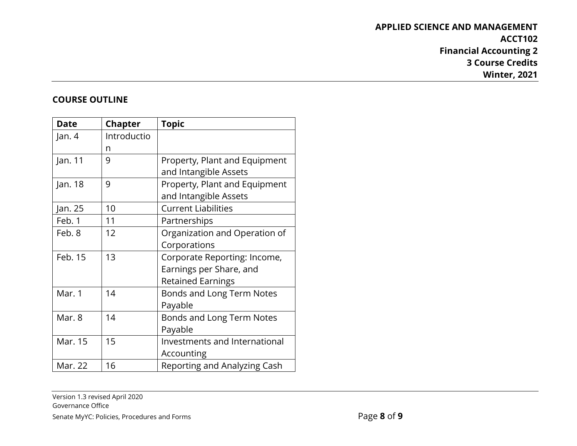# **APPLIED SCIENCE AND MANAGEMENT ACCT102 Financial Accounting 2 3 Course Credits Winter, 2021**

#### **COURSE OUTLINE**

| <b>Date</b> | <b>Chapter</b> | <b>Topic</b>                  |
|-------------|----------------|-------------------------------|
| Jan. 4      | Introductio    |                               |
|             | n              |                               |
| Jan. 11     | 9              | Property, Plant and Equipment |
|             |                | and Intangible Assets         |
| Jan. 18     | 9              | Property, Plant and Equipment |
|             |                | and Intangible Assets         |
| Jan. 25     | 10             | <b>Current Liabilities</b>    |
| Feb. 1      | 11             | Partnerships                  |
| Feb. 8      | 12             | Organization and Operation of |
|             |                | Corporations                  |
| Feb. 15     | 13             | Corporate Reporting: Income,  |
|             |                | Earnings per Share, and       |
|             |                | <b>Retained Earnings</b>      |
| Mar. 1      | 14             | Bonds and Long Term Notes     |
|             |                | Payable                       |
| Mar. 8      | 14             | Bonds and Long Term Notes     |
|             |                | Payable                       |
| Mar. 15     | 15             | Investments and International |
|             |                | Accounting                    |
| Mar. 22     | 16             | Reporting and Analyzing Cash  |